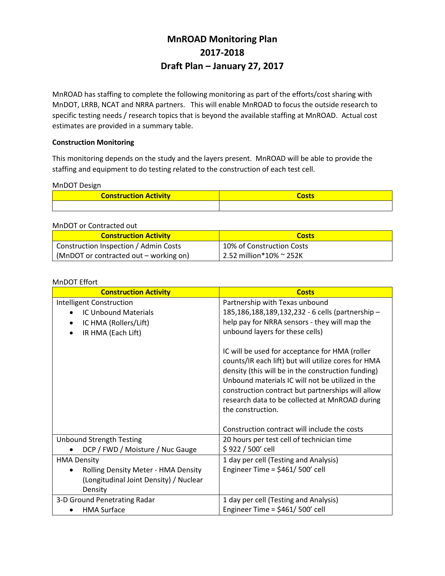# **MnROAD Monitoring Plan 2017-2018 Draft Plan – January 27, 2017**

MnROAD has staffing to complete the following monitoring as part of the efforts/cost sharing with MnDOT, LRRB, NCAT and NRRA partners. This will enable MnROAD to focus the outside research to specific testing needs / research topics that is beyond the available staffing at MnROAD. Actual cost estimates are provided in a summary table.

## **Construction Monitoring**

This monitoring depends on the study and the layers present. MnROAD will be able to provide the staffing and equipment to do testing related to the construction of each test cell.

#### MnDOT Design

| <b>Construction Activity</b> |  |  |
|------------------------------|--|--|
|                              |  |  |

#### MnDOT or Contracted out

| <b>Construction Activity</b>           | <b>Costs</b>              |
|----------------------------------------|---------------------------|
| Construction Inspection / Admin Costs  | 10% of Construction Costs |
| (MnDOT or contracted out – working on) | 2.52 million*10% ~ 252K   |

#### MnDOT Effort

| <b>Construction Activity</b>           | <b>Costs</b>                                                                                                                                                                                                                                                                                                                                |
|----------------------------------------|---------------------------------------------------------------------------------------------------------------------------------------------------------------------------------------------------------------------------------------------------------------------------------------------------------------------------------------------|
| Intelligent Construction               | Partnership with Texas unbound                                                                                                                                                                                                                                                                                                              |
| <b>IC Unbound Materials</b>            | 185,186,188,189,132,232 - 6 cells (partnership -                                                                                                                                                                                                                                                                                            |
| IC HMA (Rollers/Lift)                  | help pay for NRRA sensors - they will map the                                                                                                                                                                                                                                                                                               |
| IR HMA (Each Lift)                     | unbound layers for these cells)                                                                                                                                                                                                                                                                                                             |
|                                        | IC will be used for acceptance for HMA (roller<br>counts/IR each lift) but will utilize cores for HMA<br>density (this will be in the construction funding)<br>Unbound materials IC will not be utilized in the<br>construction contract but partnerships will allow<br>research data to be collected at MnROAD during<br>the construction. |
|                                        | Construction contract will include the costs                                                                                                                                                                                                                                                                                                |
| <b>Unbound Strength Testing</b>        | 20 hours per test cell of technician time                                                                                                                                                                                                                                                                                                   |
| DCP / FWD / Moisture / Nuc Gauge       | \$922 / 500' cell                                                                                                                                                                                                                                                                                                                           |
| <b>HMA Density</b>                     | 1 day per cell (Testing and Analysis)                                                                                                                                                                                                                                                                                                       |
| Rolling Density Meter - HMA Density    | Engineer Time = $$461/500'$ cell                                                                                                                                                                                                                                                                                                            |
| (Longitudinal Joint Density) / Nuclear |                                                                                                                                                                                                                                                                                                                                             |
| Density                                |                                                                                                                                                                                                                                                                                                                                             |
| 3-D Ground Penetrating Radar           | 1 day per cell (Testing and Analysis)                                                                                                                                                                                                                                                                                                       |
| <b>HMA Surface</b>                     | Engineer Time = $$461/500'$ cell                                                                                                                                                                                                                                                                                                            |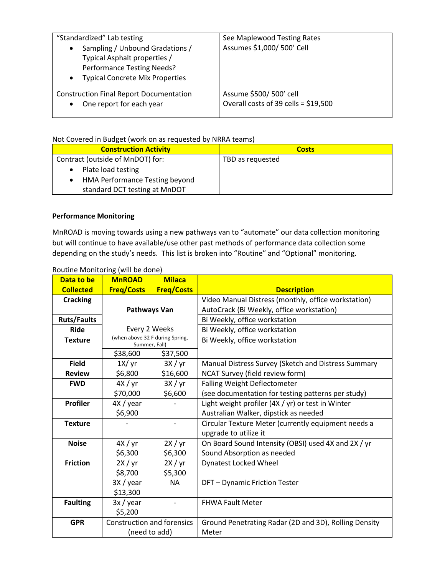| "Standardized" Lab testing<br>Sampling / Unbound Gradations /<br>Typical Asphalt properties /<br><b>Performance Testing Needs?</b><br><b>Typical Concrete Mix Properties</b> | See Maplewood Testing Rates<br>Assumes \$1,000/ 500' Cell |
|------------------------------------------------------------------------------------------------------------------------------------------------------------------------------|-----------------------------------------------------------|
| <b>Construction Final Report Documentation</b>                                                                                                                               | Assume \$500/ 500' cell                                   |
| One report for each year                                                                                                                                                     | Overall costs of 39 cells = \$19,500                      |

## Not Covered in Budget (work on as requested by NRRA teams)

| <b>Construction Activity</b>     | <b>Costs</b>     |
|----------------------------------|------------------|
| Contract (outside of MnDOT) for: | TBD as requested |
| Plate load testing               |                  |
| HMA Performance Testing beyond   |                  |
| standard DCT testing at MnDOT    |                  |

# **Performance Monitoring**

MnROAD is moving towards using a new pathways van to "automate" our data collection monitoring but will continue to have available/use other past methods of performance data collection some depending on the study's needs. This list is broken into "Routine" and "Optional" monitoring.

| Data to be         | <b>MnROAD</b>                                    | <b>Milaca</b>     |                                                       |
|--------------------|--------------------------------------------------|-------------------|-------------------------------------------------------|
| <b>Collected</b>   | <b>Freg/Costs</b>                                | <b>Freg/Costs</b> | <b>Description</b>                                    |
| <b>Cracking</b>    |                                                  |                   | Video Manual Distress (monthly, office workstation)   |
|                    | Pathways Van                                     |                   | AutoCrack (Bi Weekly, office workstation)             |
| <b>Ruts/Faults</b> |                                                  |                   | Bi Weekly, office workstation                         |
| <b>Ride</b>        | Every 2 Weeks                                    |                   | Bi Weekly, office workstation                         |
| <b>Texture</b>     | (when above 32 F during Spring,<br>Summer, Fall) |                   | Bi Weekly, office workstation                         |
|                    | \$38,600                                         | \$37,500          |                                                       |
| <b>Field</b>       | 1X/yr                                            | 3X / yr           | Manual Distress Survey (Sketch and Distress Summary   |
| <b>Review</b>      | \$6,800                                          | \$16,600          | NCAT Survey (field review form)                       |
| <b>FWD</b>         | 4X / yr                                          | 3X / yr           | <b>Falling Weight Deflectometer</b>                   |
|                    | \$70,000                                         | \$6,600           | (see documentation for testing patterns per study)    |
| <b>Profiler</b>    | 4X / year                                        |                   | Light weight profiler (4X / yr) or test in Winter     |
|                    | \$6,900                                          |                   | Australian Walker, dipstick as needed                 |
| <b>Texture</b>     |                                                  |                   | Circular Texture Meter (currently equipment needs a   |
|                    |                                                  |                   | upgrade to utilize it                                 |
| <b>Noise</b>       | 4X / yr                                          | 2X / yr           | On Board Sound Intensity (OBSI) used 4X and 2X / yr   |
|                    | \$6,300                                          | \$6,300           | Sound Absorption as needed                            |
| <b>Friction</b>    | 2X / yr                                          | 2X/yr             | <b>Dynatest Locked Wheel</b>                          |
|                    | \$8,700                                          | \$5,300           |                                                       |
|                    | 3X / year                                        | <b>NA</b>         | DFT - Dynamic Friction Tester                         |
|                    | \$13,300                                         |                   |                                                       |
| <b>Faulting</b>    | 3x / year                                        |                   | <b>FHWA Fault Meter</b>                               |
|                    | \$5,200                                          |                   |                                                       |
| <b>GPR</b>         | <b>Construction and forensics</b>                |                   | Ground Penetrating Radar (2D and 3D), Rolling Density |
|                    | (need to add)                                    |                   | Meter                                                 |

# Routine Monitoring (will be done)